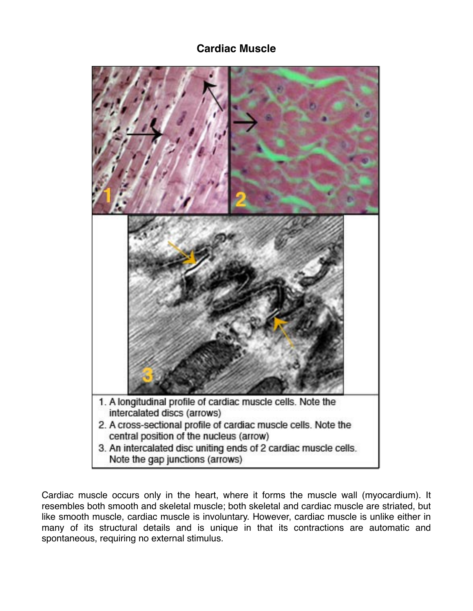## **Cardiac Muscle**



Cardiac muscle occurs only in the heart, where it forms the muscle wall (myocardium). It resembles both smooth and skeletal muscle; both skeletal and cardiac muscle are striated, but like smooth muscle, cardiac muscle is involuntary. However, cardiac muscle is unlike either in many of its structural details and is unique in that its contractions are automatic and spontaneous, requiring no external stimulus.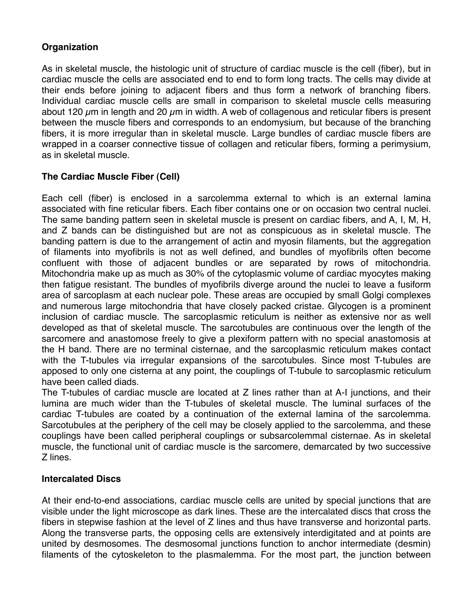## **Organization**

As in skeletal muscle, the histologic unit of structure of cardiac muscle is the cell (fiber), but in cardiac muscle the cells are associated end to end to form long tracts. The cells may divide at their ends before joining to adjacent fibers and thus form a network of branching fibers. Individual cardiac muscle cells are small in comparison to skeletal muscle cells measuring about 120  $\mu$ m in length and 20  $\mu$ m in width. A web of collagenous and reticular fibers is present between the muscle fibers and corresponds to an endomysium, but because of the branching fibers, it is more irregular than in skeletal muscle. Large bundles of cardiac muscle fibers are wrapped in a coarser connective tissue of collagen and reticular fibers, forming a perimysium, as in skeletal muscle.

## **The Cardiac Muscle Fiber (Cell)**

Each cell (fiber) is enclosed in a sarcolemma external to which is an external lamina associated with fine reticular fibers. Each fiber contains one or on occasion two central nuclei. The same banding pattern seen in skeletal muscle is present on cardiac fibers, and A, I, M, H, and Z bands can be distinguished but are not as conspicuous as in skeletal muscle. The banding pattern is due to the arrangement of actin and myosin filaments, but the aggregation of filaments into myofibrils is not as well defined, and bundles of myofibrils often become confluent with those of adjacent bundles or are separated by rows of mitochondria. Mitochondria make up as much as 30% of the cytoplasmic volume of cardiac myocytes making then fatigue resistant. The bundles of myofibrils diverge around the nuclei to leave a fusiform area of sarcoplasm at each nuclear pole. These areas are occupied by small Golgi complexes and numerous large mitochondria that have closely packed cristae. Glycogen is a prominent inclusion of cardiac muscle. The sarcoplasmic reticulum is neither as extensive nor as well developed as that of skeletal muscle. The sarcotubules are continuous over the length of the sarcomere and anastomose freely to give a plexiform pattern with no special anastomosis at the H band. There are no terminal cisternae, and the sarcoplasmic reticulum makes contact with the T-tubules via irregular expansions of the sarcotubules. Since most T-tubules are apposed to only one cisterna at any point, the couplings of T-tubule to sarcoplasmic reticulum have been called diads.

The T-tubules of cardiac muscle are located at Z lines rather than at A-I junctions, and their lumina are much wider than the T-tubules of skeletal muscle. The luminal surfaces of the cardiac T-tubules are coated by a continuation of the external lamina of the sarcolemma. Sarcotubules at the periphery of the cell may be closely applied to the sarcolemma, and these couplings have been called peripheral couplings or subsarcolemmal cisternae. As in skeletal muscle, the functional unit of cardiac muscle is the sarcomere, demarcated by two successive Z lines.

## **Intercalated Discs**

At their end-to-end associations, cardiac muscle cells are united by special junctions that are visible under the light microscope as dark lines. These are the intercalated discs that cross the fibers in stepwise fashion at the level of Z lines and thus have transverse and horizontal parts. Along the transverse parts, the opposing cells are extensively interdigitated and at points are united by desmosomes. The desmosomal junctions function to anchor intermediate (desmin) filaments of the cytoskeleton to the plasmalemma. For the most part, the junction between